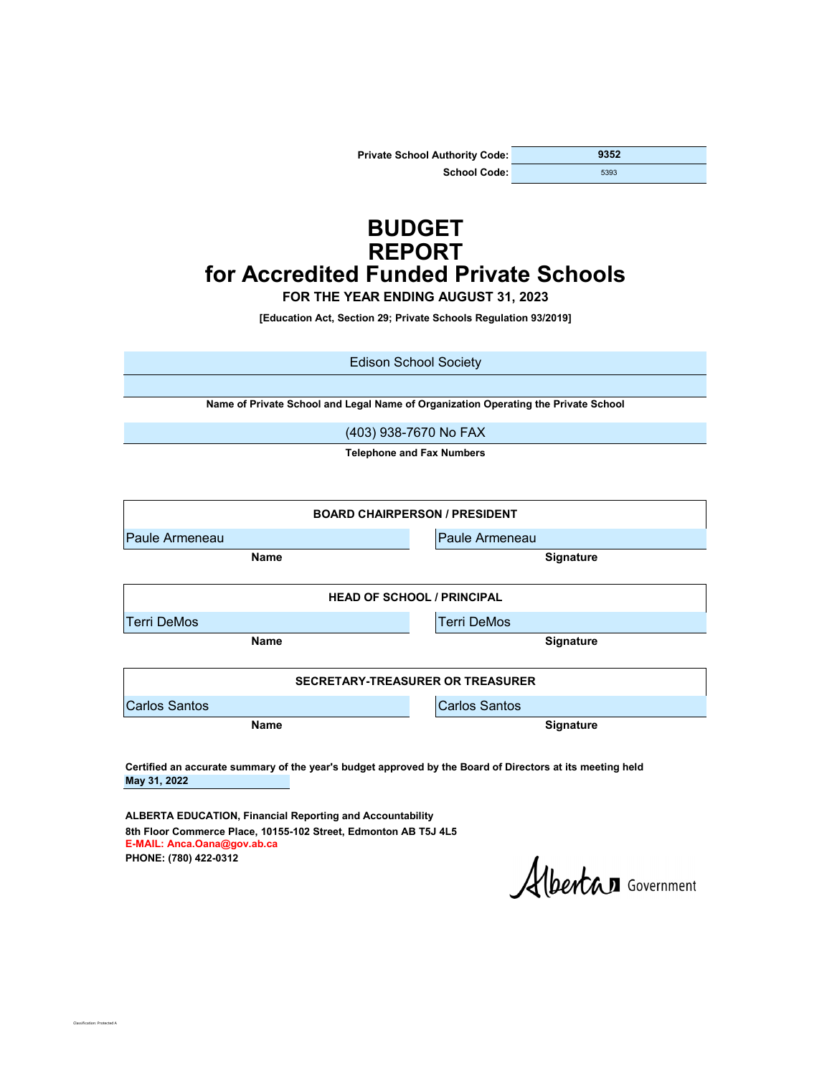| <b>Private School Authority Code:</b> | 9352 |
|---------------------------------------|------|
| School Code:                          | 5393 |

# **BUDGET REPORT for Accredited Funded Private Schools**

**FOR THE YEAR ENDING AUGUST 31, 2023**

**[Education Act, Section 29; Private Schools Regulation 93/2019]**

Edison School Society

**Name of Private School and Legal Name of Organization Operating the Private School**

(403) 938-7670 No FAX

**Telephone and Fax Numbers**

| <b>BOARD CHAIRPERSON / PRESIDENT</b>    |                      |  |  |  |  |  |
|-----------------------------------------|----------------------|--|--|--|--|--|
| <b>Paule Armeneau</b>                   | Paule Armeneau       |  |  |  |  |  |
| Name                                    | <b>Signature</b>     |  |  |  |  |  |
| <b>HEAD OF SCHOOL / PRINCIPAL</b>       |                      |  |  |  |  |  |
| <b>Terri DeMos</b>                      | <b>Terri DeMos</b>   |  |  |  |  |  |
| <b>Name</b>                             | <b>Signature</b>     |  |  |  |  |  |
| <b>SECRETARY-TREASURER OR TREASURER</b> |                      |  |  |  |  |  |
| <b>Carlos Santos</b>                    | <b>Carlos Santos</b> |  |  |  |  |  |
| <b>Name</b>                             | <b>Signature</b>     |  |  |  |  |  |

**May 31, 2022 Certified an accurate summary of the year's budget approved by the Board of Directors at its meeting held**

**PHONE: (780) 422-0312 ALBERTA EDUCATION, Financial Reporting and Accountability 8th Floor Commerce Place, 10155-102 Street, Edmonton AB T5J 4L5 E-MAIL: Anca.Oana@gov.ab.ca**

ssification: Protected A

Albertan Government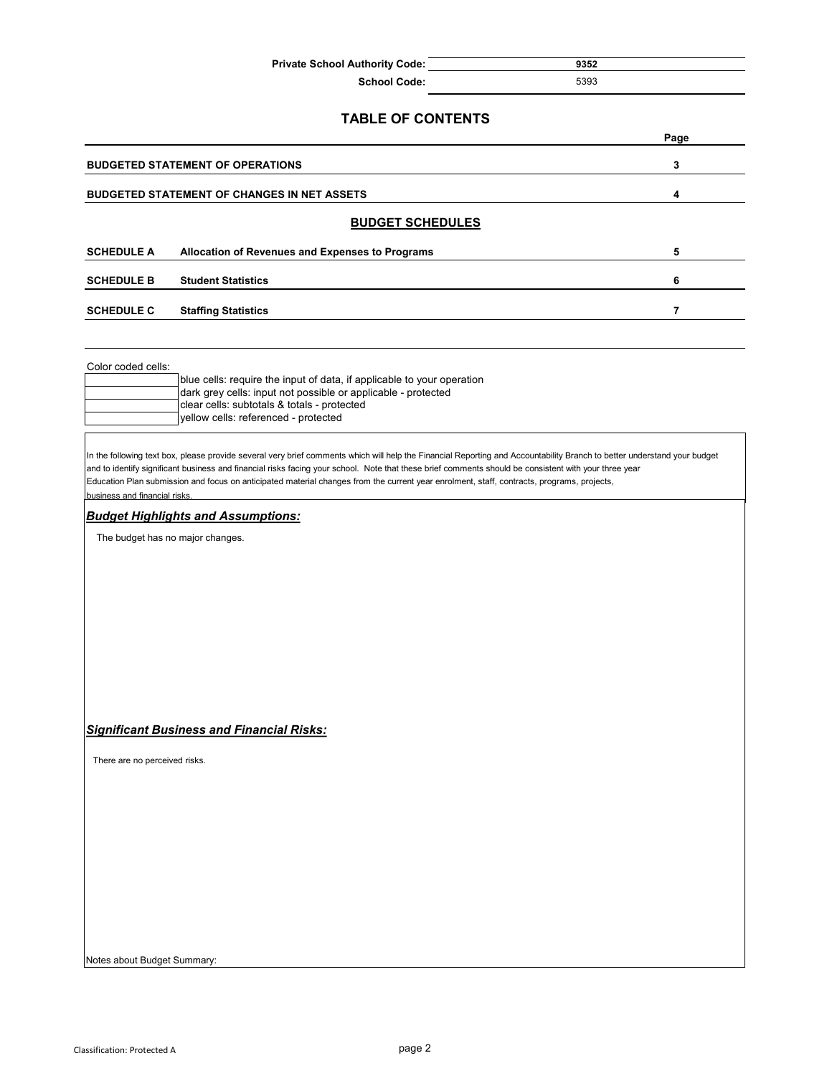| <b>Private School Authority Code:</b> | 9352 |
|---------------------------------------|------|
| <b>School Code:</b>                   | 5393 |

|                               | <b>TABLE OF CONTENTS</b>                                                                                                                                                                                                                                                                                                                                                                                                                                                        |                |
|-------------------------------|---------------------------------------------------------------------------------------------------------------------------------------------------------------------------------------------------------------------------------------------------------------------------------------------------------------------------------------------------------------------------------------------------------------------------------------------------------------------------------|----------------|
|                               |                                                                                                                                                                                                                                                                                                                                                                                                                                                                                 | Page           |
|                               | <b>BUDGETED STATEMENT OF OPERATIONS</b>                                                                                                                                                                                                                                                                                                                                                                                                                                         | 3              |
|                               | <b>BUDGETED STATEMENT OF CHANGES IN NET ASSETS</b>                                                                                                                                                                                                                                                                                                                                                                                                                              | 4              |
|                               | <b>BUDGET SCHEDULES</b>                                                                                                                                                                                                                                                                                                                                                                                                                                                         |                |
| <b>SCHEDULE A</b>             | Allocation of Revenues and Expenses to Programs                                                                                                                                                                                                                                                                                                                                                                                                                                 | 5              |
| <b>SCHEDULE B</b>             | <b>Student Statistics</b>                                                                                                                                                                                                                                                                                                                                                                                                                                                       | 6              |
| <b>SCHEDULE C</b>             | <b>Staffing Statistics</b>                                                                                                                                                                                                                                                                                                                                                                                                                                                      | $\overline{7}$ |
|                               |                                                                                                                                                                                                                                                                                                                                                                                                                                                                                 |                |
| Color coded cells:            |                                                                                                                                                                                                                                                                                                                                                                                                                                                                                 |                |
|                               | blue cells: require the input of data, if applicable to your operation                                                                                                                                                                                                                                                                                                                                                                                                          |                |
|                               | dark grey cells: input not possible or applicable - protected<br>clear cells: subtotals & totals - protected                                                                                                                                                                                                                                                                                                                                                                    |                |
|                               | yellow cells: referenced - protected                                                                                                                                                                                                                                                                                                                                                                                                                                            |                |
| business and financial risks. | In the following text box, please provide several very brief comments which will help the Financial Reporting and Accountability Branch to better understand your budget<br>and to identify significant business and financial risks facing your school. Note that these brief comments should be consistent with your three year<br>Education Plan submission and focus on anticipated material changes from the current year enrolment, staff, contracts, programs, projects, |                |
|                               | <b>Budget Highlights and Assumptions:</b>                                                                                                                                                                                                                                                                                                                                                                                                                                       |                |
|                               | The budget has no major changes.                                                                                                                                                                                                                                                                                                                                                                                                                                                |                |
|                               |                                                                                                                                                                                                                                                                                                                                                                                                                                                                                 |                |
|                               |                                                                                                                                                                                                                                                                                                                                                                                                                                                                                 |                |
|                               |                                                                                                                                                                                                                                                                                                                                                                                                                                                                                 |                |
|                               |                                                                                                                                                                                                                                                                                                                                                                                                                                                                                 |                |
|                               |                                                                                                                                                                                                                                                                                                                                                                                                                                                                                 |                |

### *Significant Business and Financial Risks:*

There are no perceived risks.

Notes about Budget Summary: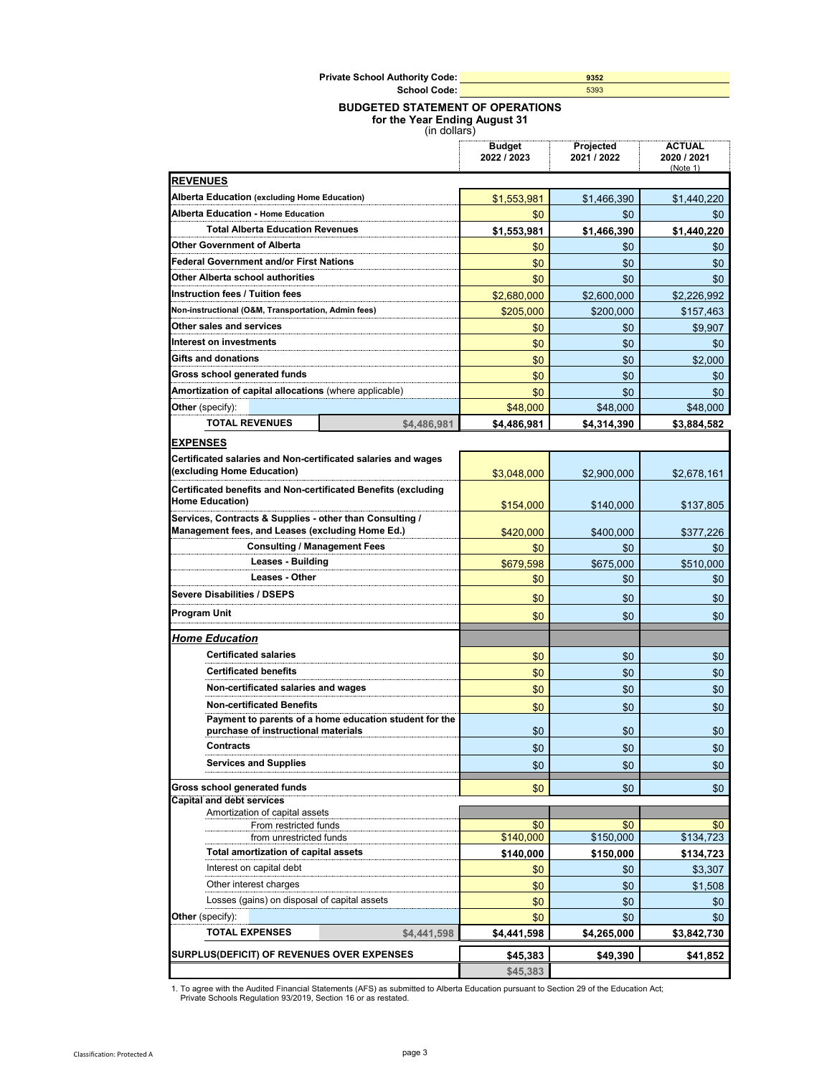| <b>Private School Authority Code:</b> | 9352 |
|---------------------------------------|------|
| School Code:                          | 5393 |

#### **BUDGETED STATEMENT OF OPERATIONS**

**for the Year Ending August 31**

|  |  | (in dollars) |  |
|--|--|--------------|--|
|--|--|--------------|--|

|                                                                                                              | Budget<br>2022 / 2023 | Projected<br>2021 / 2022 | ACIUAL<br>2020 / 2021<br>(Note 1) |
|--------------------------------------------------------------------------------------------------------------|-----------------------|--------------------------|-----------------------------------|
| <b>REVENUES</b>                                                                                              |                       |                          |                                   |
| Alberta Education (excluding Home Education)                                                                 | \$1,553,981           | \$1,466,390              | \$1,440,220                       |
| Alberta Education - Home Education                                                                           | \$0                   | \$0                      | \$0                               |
| <b>Total Alberta Education Revenues</b>                                                                      | \$1,553,981           | \$1,466,390              | \$1,440,220                       |
| <b>Other Government of Alberta</b>                                                                           | \$0                   | \$0                      | \$0                               |
| <b>Federal Government and/or First Nations</b>                                                               | \$0                   | \$0                      | \$0                               |
| <b>Other Alberta school authorities</b>                                                                      | \$0                   | \$0                      | \$0                               |
| Instruction fees / Tuition fees                                                                              | \$2,680,000           | \$2,600,000              | \$2,226,992                       |
| Non-instructional (O&M, Transportation, Admin fees)                                                          | \$205,000             | \$200,000                | \$157,463                         |
| Other sales and services                                                                                     | \$0                   | \$0                      | \$9.907                           |
| Interest on investments                                                                                      | \$0                   | \$0                      | \$0                               |
| Gifts and donations                                                                                          | \$0                   | \$0                      | \$2,000                           |
| Gross school generated funds                                                                                 | \$0                   | \$0                      | \$0                               |
| Amortization of capital allocations (where applicable)                                                       | \$0                   | \$0                      | \$0                               |
| <b>Other</b> (specify):                                                                                      | \$48,000              | \$48,000                 | \$48,000                          |
| <b>TOTAL REVENUES</b><br>\$4.486.981                                                                         | \$4.486.981           | \$4,314,390              | \$3,884,582                       |
| <b>EXPENSES</b>                                                                                              |                       |                          |                                   |
| Certificated salaries and Non-certificated salaries and wages<br>(excluding Home Education)                  | \$3,048,000           | \$2,900,000              | \$2,678,161                       |
| Certificated benefits and Non-certificated Benefits (excluding<br><b>Home Education)</b>                     | \$154,000             | \$140,000                | \$137,805                         |
| Services, Contracts & Supplies - other than Consulting /<br>Management fees, and Leases (excluding Home Ed.) | \$420,000             | \$400.000                | \$377,226                         |
| <b>Consulting / Management Fees</b>                                                                          | \$0                   | \$0                      | \$0                               |
| <b>Leases - Building</b>                                                                                     | \$679,598             | \$675,000                | \$510,000                         |
| <b>Leases - Other</b>                                                                                        | \$0                   | \$0                      | \$0                               |
| Severe Disabilities / DSEPS                                                                                  | \$0                   | \$0                      | \$0                               |
| Program Unit                                                                                                 | \$0                   | \$0                      | \$0                               |
| <b>Home Education</b>                                                                                        |                       |                          |                                   |
| <b>Certificated salaries</b>                                                                                 |                       |                          |                                   |
| <b>Certificated benefits</b>                                                                                 | \$0                   | \$0                      | \$0                               |
| Non-certificated salaries and wages                                                                          | \$0                   | \$0                      | \$0                               |
| <b>Non-certificated Benefits</b>                                                                             | \$0                   | \$0                      | \$0                               |
| Payment to parents of a home education student for the                                                       | \$0                   | \$0                      | \$0                               |
| purchase of instructional materials                                                                          | \$0                   | \$0                      | \$0                               |
| <b>Contracts</b>                                                                                             | \$0                   | \$0                      | \$0                               |
| <b>Services and Supplies</b>                                                                                 | \$0                   | \$0                      | \$0                               |
|                                                                                                              |                       |                          |                                   |
| Gross school generated funds<br><b>Capital and debt services</b>                                             | \$0                   | \$0                      | \$0                               |
| Amortization of capital assets                                                                               |                       |                          |                                   |
| From restricted funds                                                                                        | \$0                   | \$0                      | \$0                               |
| from unrestricted funds                                                                                      | \$140,000             | \$150,000                | \$134,723                         |
| <b>Total amortization of capital assets</b>                                                                  | \$140,000             | \$150,000                | \$134,723                         |
| Interest on capital debt                                                                                     | \$0                   | \$0                      | \$3,307                           |
| Other interest charges                                                                                       | \$0                   | \$0                      | \$1,508                           |
| Losses (gains) on disposal of capital assets                                                                 | \$0                   | \$0                      | \$0                               |
| Other (specify):                                                                                             | \$0                   | \$0                      | \$0                               |
| <b>TOTAL EXPENSES</b><br>\$4,441,598                                                                         | \$4,441,598           | \$4,265,000              | \$3,842,730                       |
| SURPLUS(DEFICIT) OF REVENUES OVER EXPENSES                                                                   | \$45,383              | \$49,390                 | \$41,852                          |
|                                                                                                              | \$45,383              |                          |                                   |

1. To agree with the Audited Financial Statements (AFS) as submitted to Alberta Education pursuant to Section 29 of the Education Act; Private Schools Regulation 93/2019, Section 16 or as restated.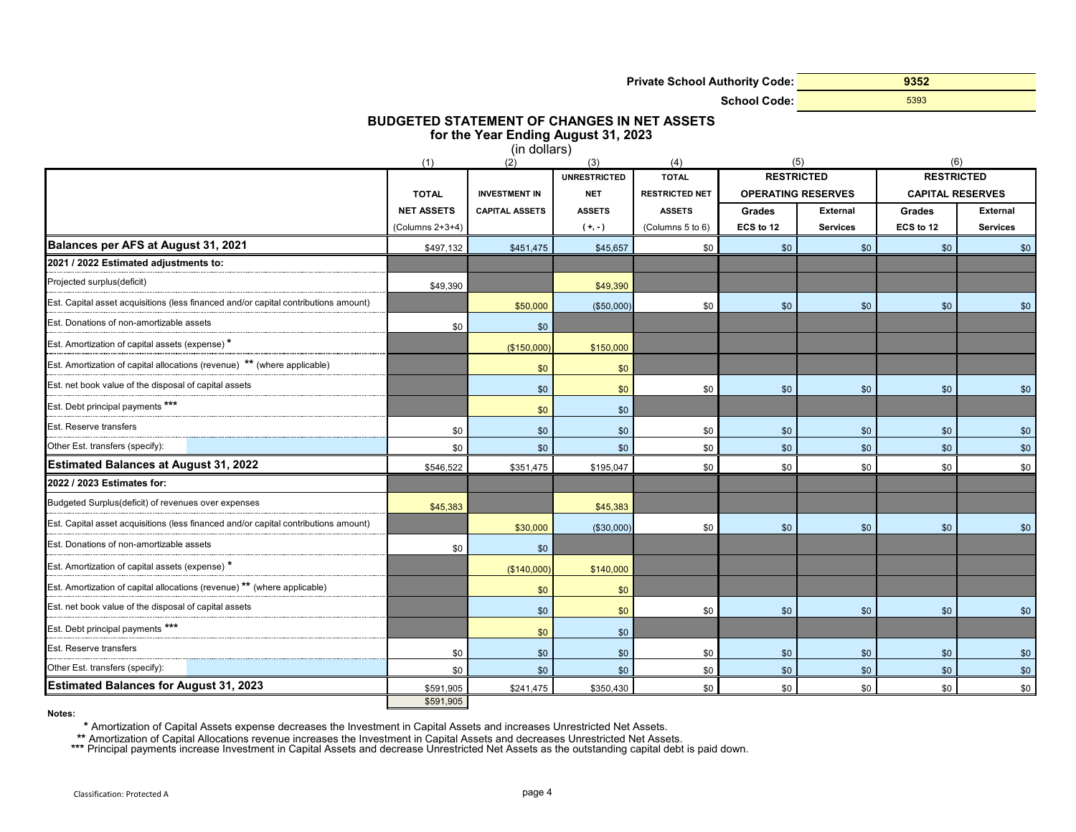**Private School Authority Code:**

**School Code:**

**9352** 5393

# **BUDGETED STATEMENT OF CHANGES IN NET ASSETS**

**for the Year Ending August 31, 2023**

|                                                                                     |                    | (in dollars)          |                     |                       |                   |                           |                         |                 |
|-------------------------------------------------------------------------------------|--------------------|-----------------------|---------------------|-----------------------|-------------------|---------------------------|-------------------------|-----------------|
|                                                                                     | (1)                | (2)                   | (3)                 | (4)                   |                   | (5)                       | (6)                     |                 |
|                                                                                     |                    |                       | <b>UNRESTRICTED</b> | <b>TOTAL</b>          | <b>RESTRICTED</b> |                           | <b>RESTRICTED</b>       |                 |
|                                                                                     | <b>TOTAL</b>       | <b>INVESTMENT IN</b>  | <b>NET</b>          | <b>RESTRICTED NET</b> |                   | <b>OPERATING RESERVES</b> | <b>CAPITAL RESERVES</b> |                 |
|                                                                                     | <b>NET ASSETS</b>  | <b>CAPITAL ASSETS</b> | <b>ASSETS</b>       | <b>ASSETS</b>         | <b>Grades</b>     | <b>External</b>           | <b>Grades</b>           | <b>External</b> |
|                                                                                     | (Columns $2+3+4$ ) |                       | $(+,-)$             | (Columns 5 to 6)      | ECS to 12         | <b>Services</b>           | ECS to 12               | <b>Services</b> |
| Balances per AFS at August 31, 2021                                                 | \$497,132          | \$451.475             | \$45,657            | \$0                   | \$0               | \$0                       | \$0                     | \$0             |
| 2021 / 2022 Estimated adjustments to:                                               |                    |                       |                     |                       |                   |                           |                         |                 |
| Projected surplus(deficit)                                                          | \$49,390           |                       | \$49,390            |                       |                   |                           |                         |                 |
| Est. Capital asset acquisitions (less financed and/or capital contributions amount) |                    | \$50,000              | (\$50,000)          | \$0                   | \$0               | \$0                       | \$0                     | \$0             |
| Est. Donations of non-amortizable assets                                            | \$0                | \$0                   |                     |                       |                   |                           |                         |                 |
| Est. Amortization of capital assets (expense) *                                     |                    | (\$150,000            | \$150,000           |                       |                   |                           |                         |                 |
| Est. Amortization of capital allocations (revenue) ** (where applicable)            |                    | \$0                   | \$0                 |                       |                   |                           |                         |                 |
| Est. net book value of the disposal of capital assets                               |                    | \$0                   | \$0                 | \$0                   | \$0               | \$0                       | \$0                     | \$0             |
| Est. Debt principal payments ***                                                    |                    | \$0                   | \$0                 |                       |                   |                           |                         |                 |
| Est. Reserve transfers                                                              | \$0                | \$0                   | \$0                 | \$0                   | \$0               | \$0                       | \$0                     | \$0             |
| Other Est. transfers (specify):                                                     | \$0                | \$0                   | \$0                 | \$0                   | \$0               | \$0                       | \$0                     | \$0             |
| <b>Estimated Balances at August 31, 2022</b>                                        | \$546,522          | \$351,475             | \$195,047           | \$0                   | \$0               | \$0                       | \$0                     | \$0             |
| 2022 / 2023 Estimates for:                                                          |                    |                       |                     |                       |                   |                           |                         |                 |
| Budgeted Surplus(deficit) of revenues over expenses                                 | \$45,383           |                       | \$45,383            |                       |                   |                           |                         |                 |
| Est. Capital asset acquisitions (less financed and/or capital contributions amount) |                    | \$30,000              | (\$30,000)          | \$0                   | \$0               | \$0                       | \$0                     | \$0             |
| Est. Donations of non-amortizable assets                                            | \$0                | \$0                   |                     |                       |                   |                           |                         |                 |
| Est. Amortization of capital assets (expense) *                                     |                    | (\$140,000            | \$140,000           |                       |                   |                           |                         |                 |
| Est. Amortization of capital allocations (revenue) ** (where applicable)            |                    | \$0                   | \$0                 |                       |                   |                           |                         |                 |
| Est. net book value of the disposal of capital assets                               |                    | \$0                   | \$0                 | \$0                   | \$0               | \$0                       | \$0                     | \$0             |
| Est. Debt principal payments ***                                                    |                    | \$0                   | \$0                 |                       |                   |                           |                         |                 |
| Est. Reserve transfers                                                              | \$0                | \$0                   | \$0                 | \$0                   | \$0               | \$0                       | \$0                     | \$0             |
| Other Est. transfers (specify):                                                     | \$0                | \$0                   | \$0                 | \$0                   | \$0               | \$0                       | \$0                     | \$0             |
| <b>Estimated Balances for August 31, 2023</b>                                       | \$591,905          | \$241,475             | \$350,430           | \$0                   | \$0               | \$0                       | \$0                     | \$0             |
|                                                                                     | \$591,905          |                       |                     |                       |                   |                           |                         |                 |

**Notes:**

**\*** Amortization of Capital Assets expense decreases the Investment in Capital Assets and increases Unrestricted Net Assets.

Amortization of Capital Allocations revenue increases the Investment in Capital Assets and decreases Unrestricted Net Assets.<br>Amortization of Capital Allocations revenue increases the Investment in Capital Assets and decre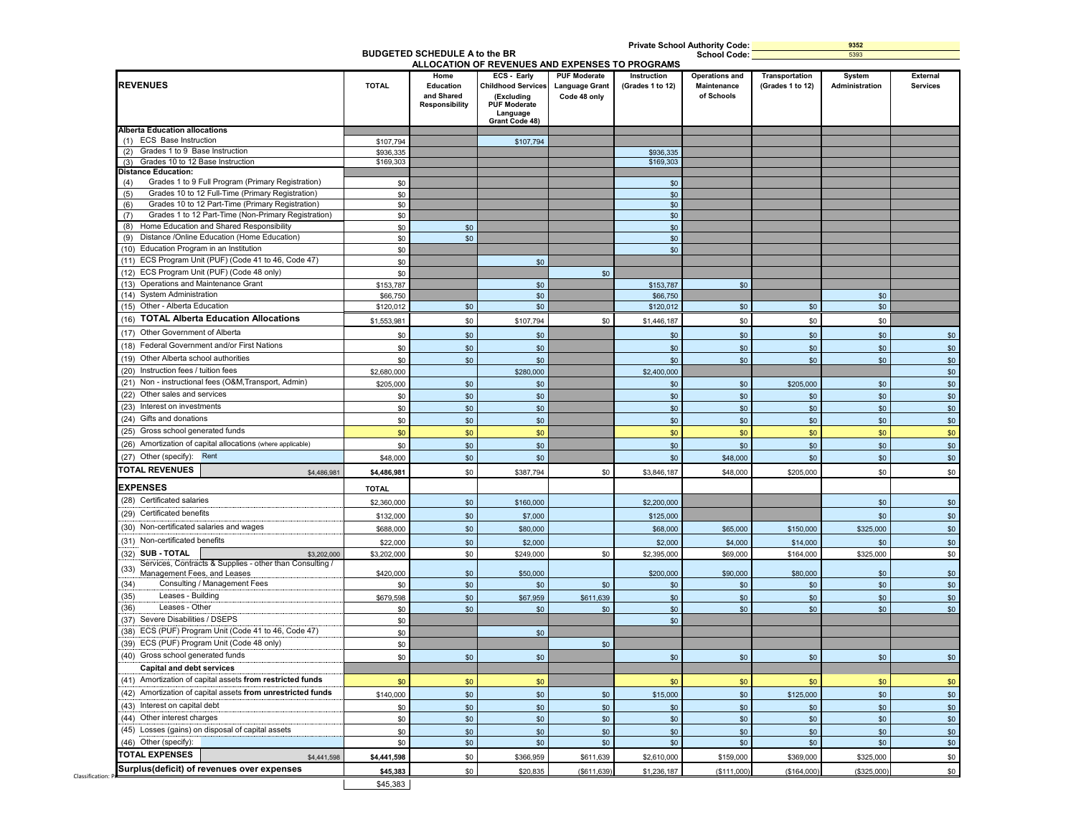| <b>REVENUES</b>                                                     | <b>TOTAL</b> | Home<br>Education<br>and Shared<br><b>Responsibility</b> | ECS - Early<br><b>Childhood Services</b><br>(Excluding<br><b>PUF Moderate</b><br>Language<br>Grant Code 48) | <b>PUF Moderate</b><br><b>Language Grant</b><br>Code 48 only | Instruction<br>(Grades 1 to 12) | <b>Operations and</b><br>Maintenance<br>of Schools | Transportation<br>(Grades 1 to 12) | System<br>Administration | <b>Services</b> |
|---------------------------------------------------------------------|--------------|----------------------------------------------------------|-------------------------------------------------------------------------------------------------------------|--------------------------------------------------------------|---------------------------------|----------------------------------------------------|------------------------------------|--------------------------|-----------------|
| <b>Alberta Education allocations</b>                                |              |                                                          |                                                                                                             |                                                              |                                 |                                                    |                                    |                          |                 |
| (1) ECS Base Instruction                                            | \$107,794    |                                                          | \$107,794                                                                                                   |                                                              |                                 |                                                    |                                    |                          |                 |
| Grades 1 to 9 Base Instruction<br>(2)                               | \$936,335    |                                                          |                                                                                                             |                                                              | \$936,335                       |                                                    |                                    |                          |                 |
| Grades 10 to 12 Base Instruction<br><b>Distance Education:</b>      | \$169,303    |                                                          |                                                                                                             |                                                              | \$169,303                       |                                                    |                                    |                          |                 |
| Grades 1 to 9 Full Program (Primary Registration)<br>(4)            | \$0          |                                                          |                                                                                                             |                                                              | \$0                             |                                                    |                                    |                          |                 |
| Grades 10 to 12 Full-Time (Primary Registration)<br>(5)             | \$0          |                                                          |                                                                                                             |                                                              | \$0                             |                                                    |                                    |                          |                 |
| Grades 10 to 12 Part-Time (Primary Registration)<br>(6)             | \$0          |                                                          |                                                                                                             |                                                              | \$0                             |                                                    |                                    |                          |                 |
| Grades 1 to 12 Part-Time (Non-Primary Registration)<br>(7)          | \$0          |                                                          |                                                                                                             |                                                              | \$0                             |                                                    |                                    |                          |                 |
| Home Education and Shared Responsibility<br>(8)                     | \$0          | \$0                                                      |                                                                                                             |                                                              | \$0                             |                                                    |                                    |                          |                 |
| Distance /Online Education (Home Education)<br>(9)                  | \$0          | \$0                                                      |                                                                                                             |                                                              | \$0                             |                                                    |                                    |                          |                 |
| (10) Education Program in an Institution                            | \$0          |                                                          |                                                                                                             |                                                              | \$0                             |                                                    |                                    |                          |                 |
| (11) ECS Program Unit (PUF) (Code 41 to 46, Code 47)                | \$0          |                                                          | \$0                                                                                                         |                                                              |                                 |                                                    |                                    |                          |                 |
| (12) ECS Program Unit (PUF) (Code 48 only)                          | \$0          |                                                          |                                                                                                             | \$0                                                          |                                 |                                                    |                                    |                          |                 |
| (13) Operations and Maintenance Grant                               | \$153,787    |                                                          | \$0                                                                                                         |                                                              | \$153,787                       | \$0                                                |                                    |                          |                 |
| (14) System Administration                                          | \$66,750     |                                                          | \$0                                                                                                         |                                                              | \$66,750                        |                                                    |                                    | \$0                      |                 |
| (15) Other - Alberta Education                                      | \$120,012    | \$0                                                      | \$0                                                                                                         |                                                              | \$120,012                       | \$0                                                | \$0                                | \$0                      |                 |
| (16) TOTAL Alberta Education Allocations                            | \$1,553,981  | \$0                                                      | \$107,794                                                                                                   | \$0                                                          | \$1,446,187                     | \$0                                                | \$0                                | \$0                      |                 |
| (17) Other Government of Alberta                                    |              |                                                          |                                                                                                             |                                                              |                                 |                                                    |                                    |                          |                 |
| (18) Federal Government and/or First Nations                        | \$0          | \$0                                                      | \$0                                                                                                         |                                                              | \$0                             | \$0                                                | \$0                                | \$0                      |                 |
|                                                                     | \$0          | \$0                                                      | \$0                                                                                                         |                                                              | \$0                             | \$0                                                | \$0                                | \$0                      |                 |
| (19) Other Alberta school authorities                               | \$0          | \$0                                                      | \$0                                                                                                         |                                                              | \$0                             | \$0                                                | \$0                                | \$0                      |                 |
| (20) Instruction fees / tuition fees                                | \$2,680,000  |                                                          | \$280,000                                                                                                   |                                                              | \$2,400,000                     |                                                    |                                    |                          |                 |
| (21) Non - instructional fees (O&M, Transport, Admin)               | \$205,000    | \$0                                                      | \$0                                                                                                         |                                                              | \$0                             | \$0                                                | \$205,000                          | \$0                      |                 |
| (22) Other sales and services                                       | \$0          | \$0                                                      | \$0                                                                                                         |                                                              | \$0                             | \$0                                                | \$0                                | \$0                      |                 |
| (23) Interest on investments                                        | \$0          | \$0                                                      | \$0                                                                                                         |                                                              | \$0                             | \$0                                                | \$0                                | \$0                      |                 |
| (24) Gifts and donations                                            | \$0          | \$0                                                      | \$0                                                                                                         |                                                              | \$0                             | \$0                                                | \$0                                | \$0                      |                 |
| (25) Gross school generated funds                                   | \$0          | \$0                                                      | \$0                                                                                                         |                                                              | \$0                             | \$0                                                | \$0                                | \$0                      |                 |
| (26) Amortization of capital allocations (where applicable)         | \$0          | \$0                                                      | \$0                                                                                                         |                                                              | \$0                             | \$0                                                | \$0                                | \$0                      |                 |
| (27) Other (specify): Rent                                          | \$48,000     | \$0                                                      | \$0                                                                                                         |                                                              | \$0                             | \$48,000                                           | \$0                                | \$0                      |                 |
| <b>TOTAL REVENUES</b><br>\$4,486,981                                | \$4,486,981  | \$0                                                      | \$387,794                                                                                                   | \$0                                                          | \$3,846,187                     | \$48,000                                           | \$205,000                          | \$0                      |                 |
| <b>EXPENSES</b>                                                     | <b>TOTAL</b> |                                                          |                                                                                                             |                                                              |                                 |                                                    |                                    |                          |                 |
| (28) Certificated salaries                                          | \$2,360,000  | \$0                                                      | \$160,000                                                                                                   |                                                              | \$2,200,000                     |                                                    |                                    | \$0                      |                 |
| (29) Certificated benefits                                          |              |                                                          |                                                                                                             |                                                              |                                 |                                                    |                                    |                          |                 |
|                                                                     | \$132,000    | \$0                                                      | \$7,000                                                                                                     |                                                              | \$125,000                       |                                                    |                                    | \$0                      |                 |
| (30) Non-certificated salaries and wages                            | \$688,000    | \$0                                                      | \$80,000                                                                                                    |                                                              | \$68,000                        | \$65,000                                           | \$150,000                          | \$325,000                |                 |
| (31) Non-certificated benefits                                      | \$22,000     | \$0                                                      | \$2,000                                                                                                     |                                                              | \$2,000                         | \$4,000                                            | \$14,000                           | \$0                      |                 |
| (32) SUB - TOTAL<br>\$3,202,000                                     | \$3,202,000  | \$0                                                      | \$249,000                                                                                                   | \$0                                                          | \$2,395,000                     | \$69,000                                           | \$164,000                          | \$325,000                |                 |
| Services, Contracts & Supplies - other than Consulting /<br>(33)    |              |                                                          |                                                                                                             |                                                              |                                 |                                                    |                                    |                          |                 |
| Management Fees, and Leases<br>Consulting / Management Fees<br>(34) | \$420,000    | \$0                                                      | \$50,000                                                                                                    |                                                              | \$200,000                       | \$90,000                                           | \$80,000                           | \$0                      |                 |
| Leases - Building                                                   | \$0          | \$0                                                      | \$0                                                                                                         | \$0                                                          | \$0                             | \$0                                                | \$0                                | \$0                      |                 |
| (35)<br>Leases - Other<br>(36)                                      | \$679,598    | \$0                                                      | \$67,959                                                                                                    | \$611,639                                                    | \$0                             | \$0                                                | \$0                                | \$0                      |                 |
| (37) Severe Disabilities / DSEPS                                    | \$0          | \$0                                                      | \$0                                                                                                         | \$0                                                          | \$0                             | \$0                                                | \$0                                | \$0                      |                 |
| (38) ECS (PUF) Program Unit (Code 41 to 46, Code 47)                | \$0          |                                                          |                                                                                                             |                                                              | \$0                             |                                                    |                                    |                          |                 |
| (39) ECS (PUF) Program Unit (Code 48 only)                          | \$0          |                                                          | \$0                                                                                                         |                                                              |                                 |                                                    |                                    |                          |                 |
|                                                                     | \$0          |                                                          |                                                                                                             | \$0                                                          |                                 |                                                    |                                    |                          |                 |
| (40) Gross school generated funds                                   | \$0          | \$0                                                      | \$0                                                                                                         |                                                              | \$0                             | \$0                                                | \$0                                | \$0                      |                 |
| <b>Capital and debt services</b>                                    |              |                                                          |                                                                                                             |                                                              |                                 |                                                    |                                    |                          |                 |
| (41) Amortization of capital assets from restricted funds           | \$0          | \$0                                                      | \$0                                                                                                         |                                                              | \$0                             | \$0                                                | \$0                                | \$0                      |                 |
| (42) Amortization of capital assets from unrestricted funds         | \$140,000    | \$0                                                      | \$0                                                                                                         | \$0                                                          | \$15,000                        | \$0                                                | \$125,000                          | \$0                      |                 |
| (43) Interest on capital debt                                       | \$0          | \$0                                                      | \$0                                                                                                         | \$0                                                          | \$0                             | \$0                                                | \$0                                | \$0                      |                 |
| (44) Other interest charges                                         | \$0          | $$0$                                                     | \$0                                                                                                         | $$0$$                                                        | \$0                             | $$0$$                                              | \$0                                | \$0                      |                 |
| (45) Losses (gains) on disposal of capital assets                   | \$0          | \$0                                                      | \$0                                                                                                         | \$0                                                          | \$0                             | \$0                                                | \$0                                | \$0                      |                 |
| (46) Other (specify):                                               | \$0          | \$0                                                      | \$0                                                                                                         | \$0                                                          | \$0                             | \$0                                                | \$0                                | \$0                      |                 |
| <b>TOTAL EXPENSES</b><br>\$4,441,598                                | \$4,441,598  | \$0                                                      | \$366,959                                                                                                   | \$611,639                                                    | \$2,610,000                     | \$159,000                                          | \$369,000                          | \$325,000                |                 |
|                                                                     |              |                                                          |                                                                                                             |                                                              |                                 |                                                    |                                    |                          |                 |
| Surplus(deficit) of revenues over expenses                          | \$45,383     | \$0                                                      | \$20,835                                                                                                    | (\$611, 639)                                                 | \$1,236,187                     | (\$111,000)                                        | (\$164,000)                        | (\$325,000)              |                 |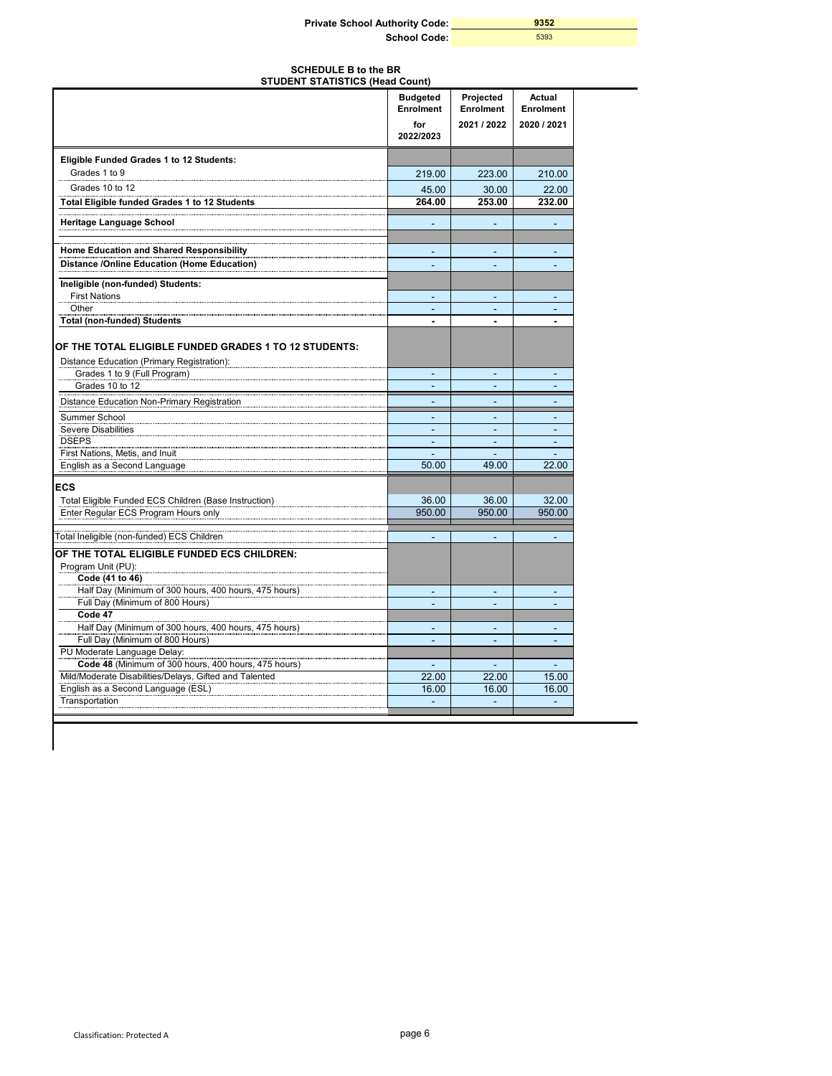| <b>Private School Authority Code:</b> | 9352 |
|---------------------------------------|------|
| School Code:                          | 5393 |

| <b>SCHEDULE B to the BR</b><br><b>STUDENT STATISTICS (Head Count)</b>                               |                                     |                                |                                |  |  |
|-----------------------------------------------------------------------------------------------------|-------------------------------------|--------------------------------|--------------------------------|--|--|
|                                                                                                     | <b>Budgeted</b><br><b>Enrolment</b> | Projected<br>Enrolment         | Actual<br><b>Enrolment</b>     |  |  |
|                                                                                                     | for<br>2022/2023                    | 2021 / 2022                    | 2020 / 2021                    |  |  |
| Eligible Funded Grades 1 to 12 Students:                                                            |                                     |                                |                                |  |  |
| Grades 1 to 9                                                                                       | 219.00                              | 223.00                         | 210.00                         |  |  |
| Grades 10 to 12                                                                                     | 45.00                               | 30.00                          | 22.00                          |  |  |
| Total Eligible funded Grades 1 to 12 Students                                                       | 264.00                              | 253.00                         | 232.00                         |  |  |
| <b>Heritage Language School</b>                                                                     | ÷.                                  | ÷                              | ÷                              |  |  |
| Home Education and Shared Responsibility                                                            |                                     |                                |                                |  |  |
| <b>Distance /Online Education (Home Education)</b>                                                  | ۰                                   | $\overline{a}$                 |                                |  |  |
| Ineligible (non-funded) Students:                                                                   |                                     |                                |                                |  |  |
| <b>First Nations</b>                                                                                |                                     |                                |                                |  |  |
| Other                                                                                               | ٠                                   | ٠                              |                                |  |  |
| <b>Total (non-funded) Students</b>                                                                  |                                     | $\blacksquare$                 | $\blacksquare$                 |  |  |
| OF THE TOTAL ELIGIBLE FUNDED GRADES 1 TO 12 STUDENTS:<br>Distance Education (Primary Registration): |                                     |                                |                                |  |  |
| Grades 1 to 9 (Full Program)                                                                        | L,                                  | $\blacksquare$                 |                                |  |  |
| Grades 10 to 12                                                                                     |                                     |                                |                                |  |  |
| Distance Education Non-Primary Registration                                                         |                                     |                                |                                |  |  |
| Summer School                                                                                       |                                     |                                |                                |  |  |
| <b>Severe Disabilities</b><br><b>DSEPS</b>                                                          | ÷.                                  | $\overline{\phantom{a}}$       | $\blacksquare$                 |  |  |
| First Nations, Metis, and Inuit                                                                     | $\blacksquare$                      | $\blacksquare$                 | $\overline{\phantom{a}}$<br>÷. |  |  |
| English as a Second Language                                                                        | 50.00                               | 49.00                          | 22.00                          |  |  |
| <b>ECS</b>                                                                                          |                                     |                                |                                |  |  |
| Total Eligible Funded ECS Children (Base Instruction)                                               | 36.00                               | 36.00                          | 32.00                          |  |  |
| Enter Regular ECS Program Hours only                                                                | 950.00                              | 950.00                         | 950.00                         |  |  |
| Total Ineligible (non-funded) ECS Children                                                          |                                     |                                |                                |  |  |
| OF THE TOTAL ELIGIBLE FUNDED ECS CHILDREN:                                                          |                                     |                                |                                |  |  |
| Program Unit (PU):<br>Code (41 to 46)                                                               |                                     |                                |                                |  |  |
| Half Day (Minimum of 300 hours, 400 hours, 475 hours)                                               | $\overline{\phantom{a}}$            | $\sim$                         | $\overline{\phantom{a}}$       |  |  |
| Full Day (Minimum of 800 Hours)                                                                     |                                     |                                | ٠                              |  |  |
| Code 47<br>Half Day (Minimum of 300 hours, 400 hours, 475 hours)                                    |                                     |                                |                                |  |  |
| Full Day (Minimum of 800 Hours)                                                                     | ۰<br>۰                              | $\overline{\phantom{a}}$<br>L, | L,                             |  |  |
| PU Moderate Language Delay:                                                                         |                                     |                                |                                |  |  |
| Code 48 (Minimum of 300 hours, 400 hours, 475 hours)                                                |                                     |                                |                                |  |  |
| Mild/Moderate Disabilities/Delays, Gifted and Talented                                              | 22.00                               | 22.00                          | 15.00                          |  |  |
| English as a Second Language (ESL)                                                                  | 16.00                               | 16.00                          | 16.00                          |  |  |
| Transportation                                                                                      |                                     |                                | ÷                              |  |  |

 $\overline{\phantom{a}}$